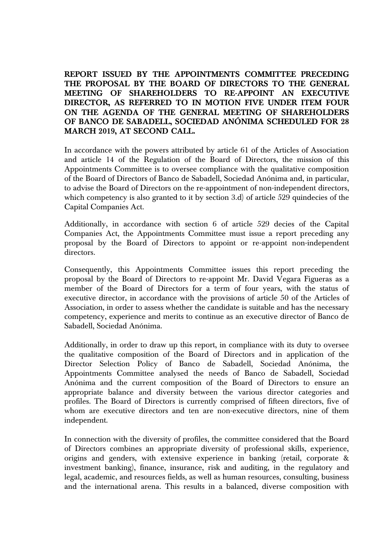**REPORT ISSUED BY THE APPOINTMENTS COMMITTEE PRECEDING THE PROPOSAL BY THE BOARD OF DIRECTORS TO THE GENERAL MEETING OF SHAREHOLDERS TO RE-APPOINT AN EXECUTIVE DIRECTOR, AS REFERRED TO IN MOTION FIVE UNDER ITEM FOUR ON THE AGENDA OF THE GENERAL MEETING OF SHAREHOLDERS OF BANCO DE SABADELL, SOCIEDAD ANÓNIMA SCHEDULED FOR 28 MARCH 2019, AT SECOND CALL.**

In accordance with the powers attributed by article 61 of the Articles of Association and article 14 of the Regulation of the Board of Directors, the mission of this Appointments Committee is to oversee compliance with the qualitative composition of the Board of Directors of Banco de Sabadell, Sociedad Anónima and, in particular, to advise the Board of Directors on the re-appointment of non-independent directors, which competency is also granted to it by section 3.d) of article 529 quindecies of the Capital Companies Act.

Additionally, in accordance with section 6 of article 529 decies of the Capital Companies Act, the Appointments Committee must issue a report preceding any proposal by the Board of Directors to appoint or re-appoint non-independent directors.

Consequently, this Appointments Committee issues this report preceding the proposal by the Board of Directors to re-appoint Mr. David Vegara Figueras as a member of the Board of Directors for a term of four years, with the status of executive director, in accordance with the provisions of article 50 of the Articles of Association, in order to assess whether the candidate is suitable and has the necessary competency, experience and merits to continue as an executive director of Banco de Sabadell, Sociedad Anónima.

Additionally, in order to draw up this report, in compliance with its duty to oversee the qualitative composition of the Board of Directors and in application of the Director Selection Policy of Banco de Sabadell, Sociedad Anónima, the Appointments Committee analysed the needs of Banco de Sabadell, Sociedad Anónima and the current composition of the Board of Directors to ensure an appropriate balance and diversity between the various director categories and profiles. The Board of Directors is currently comprised of fifteen directors, five of whom are executive directors and ten are non-executive directors, nine of them independent.

In connection with the diversity of profiles, the committee considered that the Board of Directors combines an appropriate diversity of professional skills, experience, origins and genders, with extensive experience in banking (retail, corporate & investment banking), finance, insurance, risk and auditing, in the regulatory and legal, academic, and resources fields, as well as human resources, consulting, business and the international arena. This results in a balanced, diverse composition with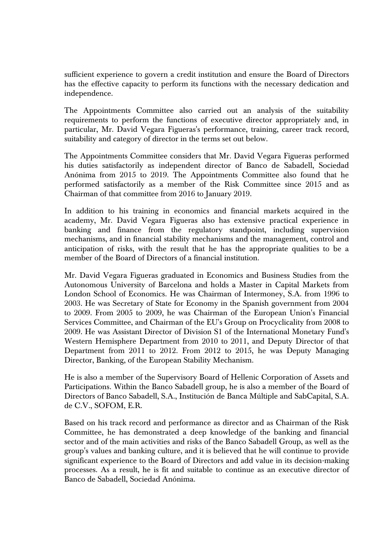sufficient experience to govern a credit institution and ensure the Board of Directors has the effective capacity to perform its functions with the necessary dedication and independence.

The Appointments Committee also carried out an analysis of the suitability requirements to perform the functions of executive director appropriately and, in particular, Mr. David Vegara Figueras's performance, training, career track record, suitability and category of director in the terms set out below.

The Appointments Committee considers that Mr. David Vegara Figueras performed his duties satisfactorily as independent director of Banco de Sabadell, Sociedad Anónima from 2015 to 2019. The Appointments Committee also found that he performed satisfactorily as a member of the Risk Committee since 2015 and as Chairman of that committee from 2016 to January 2019.

In addition to his training in economics and financial markets acquired in the academy, Mr. David Vegara Figueras also has extensive practical experience in banking and finance from the regulatory standpoint, including supervision mechanisms, and in financial stability mechanisms and the management, control and anticipation of risks, with the result that he has the appropriate qualities to be a member of the Board of Directors of a financial institution.

Mr. David Vegara Figueras graduated in Economics and Business Studies from the Autonomous University of Barcelona and holds a Master in Capital Markets from London School of Economics. He was Chairman of Intermoney, S.A. from 1996 to 2003. He was Secretary of State for Economy in the Spanish government from 2004 to 2009. From 2005 to 2009, he was Chairman of the European Union's Financial Services Committee, and Chairman of the EU's Group on Procyclicality from 2008 to 2009. He was Assistant Director of Division S1 of the International Monetary Fund's Western Hemisphere Department from 2010 to 2011, and Deputy Director of that Department from 2011 to 2012. From 2012 to 2015, he was Deputy Managing Director, Banking, of the European Stability Mechanism.

He is also a member of the Supervisory Board of Hellenic Corporation of Assets and Participations. Within the Banco Sabadell group, he is also a member of the Board of Directors of Banco Sabadell, S.A., Institución de Banca Múltiple and SabCapital, S.A. de C.V., SOFOM, E.R.

Based on his track record and performance as director and as Chairman of the Risk Committee, he has demonstrated a deep knowledge of the banking and financial sector and of the main activities and risks of the Banco Sabadell Group, as well as the group's values and banking culture, and it is believed that he will continue to provide significant experience to the Board of Directors and add value in its decision-making processes. As a result, he is fit and suitable to continue as an executive director of Banco de Sabadell, Sociedad Anónima.